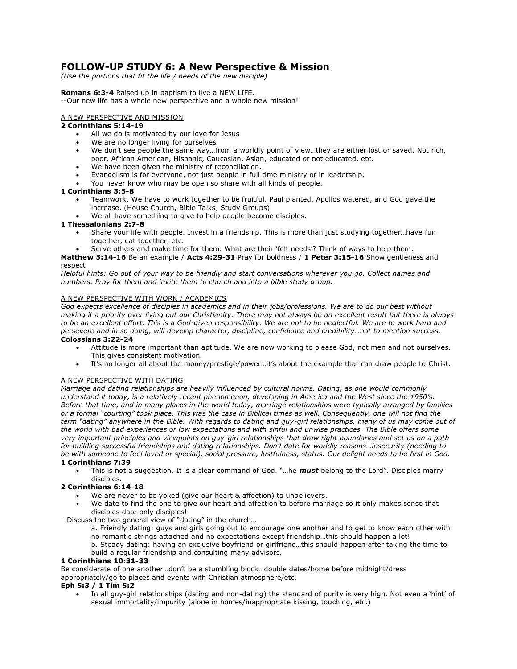# **FOLLOW-UP STUDY 6: A New Perspective & Mission**

*(Use the portions that fit the life / needs of the new disciple)* 

# **Romans 6:3-4** Raised up in baptism to live a NEW LIFE.

--Our new life has a whole new perspective and a whole new mission!

## A NEW PERSPECTIVE AND MISSION

# **2 Corinthians 5:14-19**

- All we do is motivated by our love for Jesus
- We are no longer living for ourselves
- We don't see people the same way…from a worldly point of view…they are either lost or saved. Not rich, poor, African American, Hispanic, Caucasian, Asian, educated or not educated, etc.
- We have been given the ministry of reconciliation.
- Evangelism is for everyone, not just people in full time ministry or in leadership.
- You never know who may be open so share with all kinds of people.

### **1 Corinthians 3:5-8**

- Teamwork. We have to work together to be fruitful. Paul planted, Apollos watered, and God gave the increase. (House Church, Bible Talks, Study Groups)
- We all have something to give to help people become disciples.

### **1 Thessalonians 2:7-8**

- Share your life with people. Invest in a friendship. This is more than just studying together…have fun together, eat together, etc.
- Serve others and make time for them. What are their 'felt needs'? Think of ways to help them.

#### **Matthew 5:14-16** Be an example / **Acts 4:29-31** Pray for boldness / **1 Peter 3:15-16** Show gentleness and respect

*Helpful hints: Go out of your way to be friendly and start conversations wherever you go. Collect names and numbers. Pray for them and invite them to church and into a bible study group.* 

### A NEW PERSPECTIVE WITH WORK / ACADEMICS

*God expects excellence of disciples in academics and in their jobs/professions. We are to do our best without making it a priority over living out our Christianity. There may not always be an excellent result but there is always*  to be an excellent effort. This is a God-given responsibility. We are not to be neglectful. We are to work hard and *persevere and in so doing, will develop character, discipline, confidence and credibility…not to mention success.*  **Colossians 3:22-24**

- Attitude is more important than aptitude. We are now working to please God, not men and not ourselves. This gives consistent motivation.
- It's no longer all about the money/prestige/power…it's about the example that can draw people to Christ.

### A NEW PERSPECTIVE WITH DATING

*Marriage and dating relationships are heavily influenced by cultural norms. Dating, as one would commonly understand it today, is a relatively recent phenomenon, developing in America and the West since the 1950's. Before that time, and in many places in the world today, marriage relationships were typically arranged by families or a formal "courting" took place. This was the case in Biblical times as well. Consequently, one will not find the term "dating" anywhere in the Bible. With regards to dating and guy-girl relationships, many of us may come out of the world with bad experiences or low expectations and with sinful and unwise practices. The Bible offers some very important principles and viewpoints on guy-girl relationships that draw right boundaries and set us on a path for building successful friendships and dating relationships. Don't date for worldly reasons…insecurity (needing to be with someone to feel loved or special), social pressure, lustfulness, status. Our delight needs to be first in God.*  **1 Corinthians 7:39**

 This is not a suggestion. It is a clear command of God. "…he *must* belong to the Lord". Disciples marry disciples.

# **2 Corinthians 6:14-18**

- We are never to be yoked (give our heart & affection) to unbelievers.
- We date to find the one to give our heart and affection to before marriage so it only makes sense that disciples date only disciples!

--Discuss the two general view of "dating" in the church…

- a. Friendly dating: guys and girls going out to encourage one another and to get to know each other with no romantic strings attached and no expectations except friendship…this should happen a lot!
- b. Steady dating: having an exclusive boyfriend or girlfriend…this should happen after taking the time to build a regular friendship and consulting many advisors.

# **1 Corinthians 10:31-33**

Be considerate of one another…don't be a stumbling block…double dates/home before midnight/dress appropriately/go to places and events with Christian atmosphere/etc.

### **Eph 5:3 / 1 Tim 5:2**

 In all guy-girl relationships (dating and non-dating) the standard of purity is very high. Not even a 'hint' of sexual immortality/impurity (alone in homes/inappropriate kissing, touching, etc.)